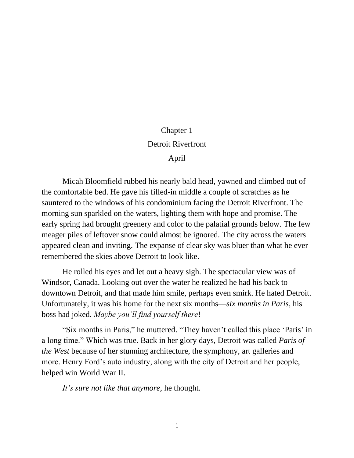## Chapter 1 Detroit Riverfront

April

Micah Bloomfield rubbed his nearly bald head, yawned and climbed out of the comfortable bed. He gave his filled-in middle a couple of scratches as he sauntered to the windows of his condominium facing the Detroit Riverfront. The morning sun sparkled on the waters, lighting them with hope and promise. The early spring had brought greenery and color to the palatial grounds below. The few meager piles of leftover snow could almost be ignored. The city across the waters appeared clean and inviting. The expanse of clear sky was bluer than what he ever remembered the skies above Detroit to look like.

He rolled his eyes and let out a heavy sigh. The spectacular view was of Windsor, Canada. Looking out over the water he realized he had his back to downtown Detroit, and that made him smile, perhaps even smirk. He hated Detroit. Unfortunately, it was his home for the next six months—*six months in Paris*, his boss had joked. *Maybe you'll find yourself there*!

"Six months in Paris," he muttered. "They haven't called this place 'Paris' in a long time." Which was true. Back in her glory days, Detroit was called *Paris of the West* because of her stunning architecture, the symphony, art galleries and more. Henry Ford's auto industry, along with the city of Detroit and her people, helped win World War II.

*It's sure not like that anymore,* he thought.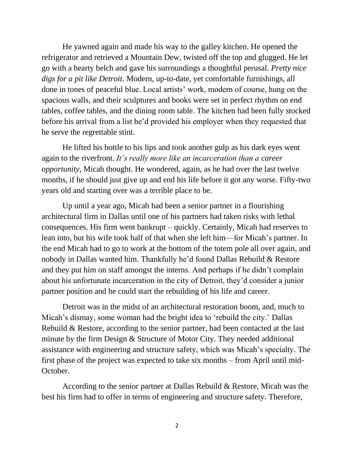He yawned again and made his way to the galley kitchen. He opened the refrigerator and retrieved a Mountain Dew, twisted off the top and glugged. He let go with a hearty belch and gave his surroundings a thoughtful perusal. *Pretty nice digs for a pit like Detroit.* Modern, up-to-date, yet comfortable furnishings, all done in tones of peaceful blue. Local artists' work, modern of course, hung on the spacious walls, and their sculptures and books were set in perfect rhythm on end tables, coffee tables, and the dining room table. The kitchen had been fully stocked before his arrival from a list he'd provided his employer when they requested that he serve the regrettable stint.

He lifted his bottle to his lips and took another gulp as his dark eyes went again to the riverfront. *It's really more like an incarceration than a career opportunity*, Micah thought. He wondered, again, as he had over the last twelve months, if he should just give up and end his life before it got any worse. Fifty-two years old and starting over was a terrible place to be.

Up until a year ago, Micah had been a senior partner in a flourishing architectural firm in Dallas until one of his partners had taken risks with lethal consequences. His firm went bankrupt – quickly. Certainly, Micah had reserves to lean into, but his wife took half of that when she left him—for Micah's partner. In the end Micah had to go to work at the bottom of the totem pole all over again, and nobody in Dallas wanted him. Thankfully he'd found Dallas Rebuild & Restore and they put him on staff amongst the interns. And perhaps if he didn't complain about his unfortunate incarceration in the city of Detroit, they'd consider a junior partner position and he could start the rebuilding of his life and career.

Detroit was in the midst of an architectural restoration boom, and, much to Micah's dismay, some woman had the bright idea to 'rebuild the city.' Dallas Rebuild & Restore, according to the senior partner, had been contacted at the last minute by the firm Design & Structure of Motor City. They needed additional assistance with engineering and structure safety, which was Micah's specialty. The first phase of the project was expected to take six months – from April until mid-October.

According to the senior partner at Dallas Rebuild & Restore, Micah was the best his firm had to offer in terms of engineering and structure safety. Therefore,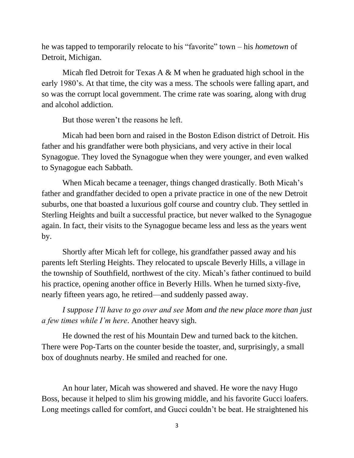he was tapped to temporarily relocate to his "favorite" town – his *hometown* of Detroit, Michigan.

Micah fled Detroit for Texas A & M when he graduated high school in the early 1980's. At that time, the city was a mess. The schools were falling apart, and so was the corrupt local government. The crime rate was soaring, along with drug and alcohol addiction.

But those weren't the reasons he left.

Micah had been born and raised in the Boston Edison district of Detroit. His father and his grandfather were both physicians, and very active in their local Synagogue. They loved the Synagogue when they were younger, and even walked to Synagogue each Sabbath.

When Micah became a teenager, things changed drastically. Both Micah's father and grandfather decided to open a private practice in one of the new Detroit suburbs, one that boasted a luxurious golf course and country club. They settled in Sterling Heights and built a successful practice, but never walked to the Synagogue again. In fact, their visits to the Synagogue became less and less as the years went by.

Shortly after Micah left for college, his grandfather passed away and his parents left Sterling Heights. They relocated to upscale Beverly Hills, a village in the township of Southfield, northwest of the city. Micah's father continued to build his practice, opening another office in Beverly Hills. When he turned sixty-five, nearly fifteen years ago, he retired—and suddenly passed away.

*I suppose I'll have to go over and see Mom and the new place more than just a few times while I'm here*. Another heavy sigh.

He downed the rest of his Mountain Dew and turned back to the kitchen. There were Pop-Tarts on the counter beside the toaster, and, surprisingly, a small box of doughnuts nearby. He smiled and reached for one.

An hour later, Micah was showered and shaved. He wore the navy Hugo Boss, because it helped to slim his growing middle, and his favorite Gucci loafers. Long meetings called for comfort, and Gucci couldn't be beat. He straightened his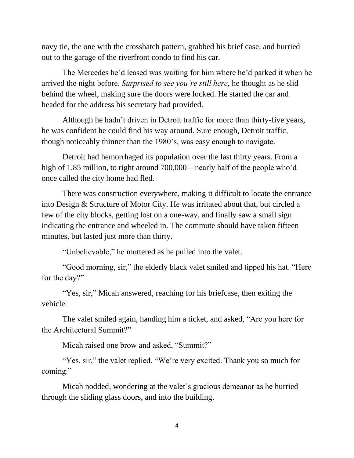navy tie, the one with the crosshatch pattern, grabbed his brief case, and hurried out to the garage of the riverfront condo to find his car.

The Mercedes he'd leased was waiting for him where he'd parked it when he arrived the night before. *Surprised to see you're still here*, he thought as he slid behind the wheel, making sure the doors were locked. He started the car and headed for the address his secretary had provided.

Although he hadn't driven in Detroit traffic for more than thirty-five years, he was confident he could find his way around. Sure enough, Detroit traffic, though noticeably thinner than the 1980's, was easy enough to navigate.

Detroit had hemorrhaged its population over the last thirty years. From a high of 1.85 million, to right around 700,000—nearly half of the people who'd once called the city home had fled.

There was construction everywhere, making it difficult to locate the entrance into Design & Structure of Motor City. He was irritated about that, but circled a few of the city blocks, getting lost on a one-way, and finally saw a small sign indicating the entrance and wheeled in. The commute should have taken fifteen minutes, but lasted just more than thirty.

"Unbelievable," he muttered as he pulled into the valet.

"Good morning, sir," the elderly black valet smiled and tipped his hat. "Here for the day?"

"Yes, sir," Micah answered, reaching for his briefcase, then exiting the vehicle.

The valet smiled again, handing him a ticket, and asked, "Are you here for the Architectural Summit?"

Micah raised one brow and asked, "Summit?"

"Yes, sir," the valet replied. "We're very excited. Thank you so much for coming."

Micah nodded, wondering at the valet's gracious demeanor as he hurried through the sliding glass doors, and into the building.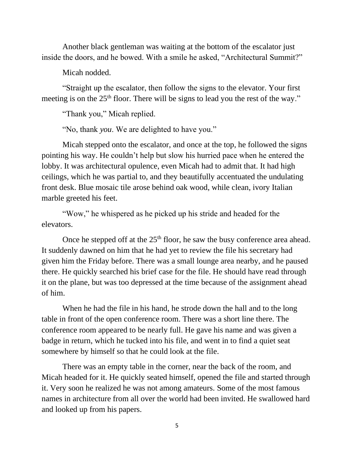Another black gentleman was waiting at the bottom of the escalator just inside the doors, and he bowed. With a smile he asked, "Architectural Summit?"

Micah nodded.

"Straight up the escalator, then follow the signs to the elevator. Your first meeting is on the  $25<sup>th</sup>$  floor. There will be signs to lead you the rest of the way."

"Thank you," Micah replied.

"No, thank *you*. We are delighted to have you."

Micah stepped onto the escalator, and once at the top, he followed the signs pointing his way. He couldn't help but slow his hurried pace when he entered the lobby. It was architectural opulence, even Micah had to admit that. It had high ceilings, which he was partial to, and they beautifully accentuated the undulating front desk. Blue mosaic tile arose behind oak wood, while clean, ivory Italian marble greeted his feet.

"Wow," he whispered as he picked up his stride and headed for the elevators.

Once he stepped off at the  $25<sup>th</sup>$  floor, he saw the busy conference area ahead. It suddenly dawned on him that he had yet to review the file his secretary had given him the Friday before. There was a small lounge area nearby, and he paused there. He quickly searched his brief case for the file. He should have read through it on the plane, but was too depressed at the time because of the assignment ahead of him.

When he had the file in his hand, he strode down the hall and to the long table in front of the open conference room. There was a short line there. The conference room appeared to be nearly full. He gave his name and was given a badge in return, which he tucked into his file, and went in to find a quiet seat somewhere by himself so that he could look at the file.

There was an empty table in the corner, near the back of the room, and Micah headed for it. He quickly seated himself, opened the file and started through it. Very soon he realized he was not among amateurs. Some of the most famous names in architecture from all over the world had been invited. He swallowed hard and looked up from his papers.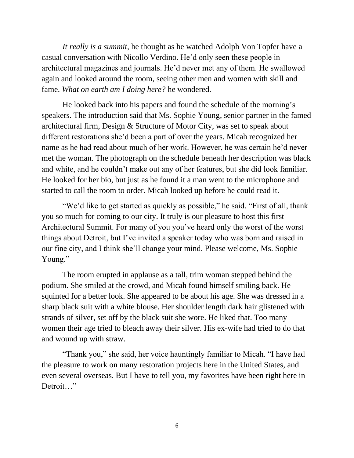*It really is a summit*, he thought as he watched Adolph Von Topfer have a casual conversation with Nicollo Verdino. He'd only seen these people in architectural magazines and journals. He'd never met any of them. He swallowed again and looked around the room, seeing other men and women with skill and fame. *What on earth am I doing here?* he wondered.

He looked back into his papers and found the schedule of the morning's speakers. The introduction said that Ms. Sophie Young, senior partner in the famed architectural firm, Design & Structure of Motor City, was set to speak about different restorations she'd been a part of over the years. Micah recognized her name as he had read about much of her work. However, he was certain he'd never met the woman. The photograph on the schedule beneath her description was black and white, and he couldn't make out any of her features, but she did look familiar. He looked for her bio, but just as he found it a man went to the microphone and started to call the room to order. Micah looked up before he could read it.

"We'd like to get started as quickly as possible," he said. "First of all, thank you so much for coming to our city. It truly is our pleasure to host this first Architectural Summit. For many of you you've heard only the worst of the worst things about Detroit, but I've invited a speaker today who was born and raised in our fine city, and I think she'll change your mind. Please welcome, Ms. Sophie Young."

The room erupted in applause as a tall, trim woman stepped behind the podium. She smiled at the crowd, and Micah found himself smiling back. He squinted for a better look. She appeared to be about his age. She was dressed in a sharp black suit with a white blouse. Her shoulder length dark hair glistened with strands of silver, set off by the black suit she wore. He liked that. Too many women their age tried to bleach away their silver. His ex-wife had tried to do that and wound up with straw.

"Thank you," she said, her voice hauntingly familiar to Micah. "I have had the pleasure to work on many restoration projects here in the United States, and even several overseas. But I have to tell you, my favorites have been right here in Detroit…"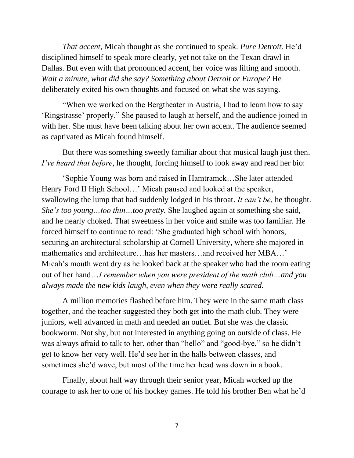*That accent*, Micah thought as she continued to speak. *Pure Detroit*. He'd disciplined himself to speak more clearly, yet not take on the Texan drawl in Dallas. But even with that pronounced accent, her voice was lilting and smooth. *Wait a minute, what did she say? Something about Detroit or Europe?* He deliberately exited his own thoughts and focused on what she was saying.

"When we worked on the Bergtheater in Austria, I had to learn how to say 'Ringstrasse' properly." She paused to laugh at herself, and the audience joined in with her. She must have been talking about her own accent. The audience seemed as captivated as Micah found himself.

But there was something sweetly familiar about that musical laugh just then. *I've heard that before*, he thought, forcing himself to look away and read her bio:

'Sophie Young was born and raised in Hamtramck…She later attended Henry Ford II High School…' Micah paused and looked at the speaker, swallowing the lump that had suddenly lodged in his throat. *It can't be*, he thought. *She's too young…too thin…too pretty.* She laughed again at something she said, and he nearly choked. That sweetness in her voice and smile was too familiar. He forced himself to continue to read: 'She graduated high school with honors, securing an architectural scholarship at Cornell University, where she majored in mathematics and architecture…has her masters…and received her MBA…' Micah's mouth went dry as he looked back at the speaker who had the room eating out of her hand…*I remember when you were president of the math club…and you always made the new kids laugh, even when they were really scared.*

A million memories flashed before him. They were in the same math class together, and the teacher suggested they both get into the math club. They were juniors, well advanced in math and needed an outlet. But she was the classic bookworm. Not shy, but not interested in anything going on outside of class. He was always afraid to talk to her, other than "hello" and "good-bye," so he didn't get to know her very well. He'd see her in the halls between classes, and sometimes she'd wave, but most of the time her head was down in a book.

Finally, about half way through their senior year, Micah worked up the courage to ask her to one of his hockey games. He told his brother Ben what he'd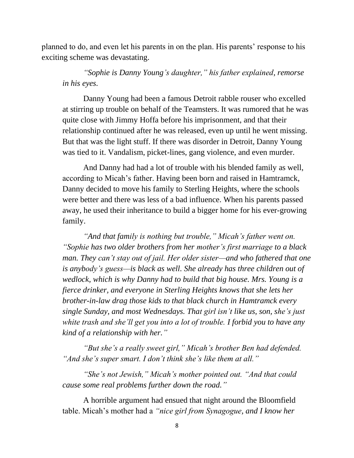planned to do, and even let his parents in on the plan. His parents' response to his exciting scheme was devastating.

*"Sophie is Danny Young's daughter," his father explained, remorse in his eyes.* 

Danny Young had been a famous Detroit rabble rouser who excelled at stirring up trouble on behalf of the Teamsters. It was rumored that he was quite close with Jimmy Hoffa before his imprisonment, and that their relationship continued after he was released, even up until he went missing. But that was the light stuff. If there was disorder in Detroit, Danny Young was tied to it. Vandalism, picket-lines, gang violence, and even murder.

And Danny had had a lot of trouble with his blended family as well, according to Micah's father. Having been born and raised in Hamtramck, Danny decided to move his family to Sterling Heights, where the schools were better and there was less of a bad influence. When his parents passed away, he used their inheritance to build a bigger home for his ever-growing family.

*"And that family is nothing but trouble," Micah's father went on. "Sophie has two older brothers from her mother's first marriage to a black man. They can't stay out of jail. Her older sister—and who fathered that one is anybody's guess—is black as well. She already has three children out of wedlock, which is why Danny had to build that big house. Mrs. Young is a fierce drinker, and everyone in Sterling Heights knows that she lets her brother-in-law drag those kids to that black church in Hamtramck every single Sunday, and most Wednesdays. That girl isn't like us, son, she's just white trash and she'll get you into a lot of trouble. I forbid you to have any kind of a relationship with her."*

*"But she's a really sweet girl," Micah's brother Ben had defended. "And she's super smart. I don't think she's like them at all."*

*"She's not Jewish," Micah's mother pointed out. "And that could cause some real problems further down the road."*

A horrible argument had ensued that night around the Bloomfield table. Micah's mother had a *"nice girl from Synagogue, and I know her*